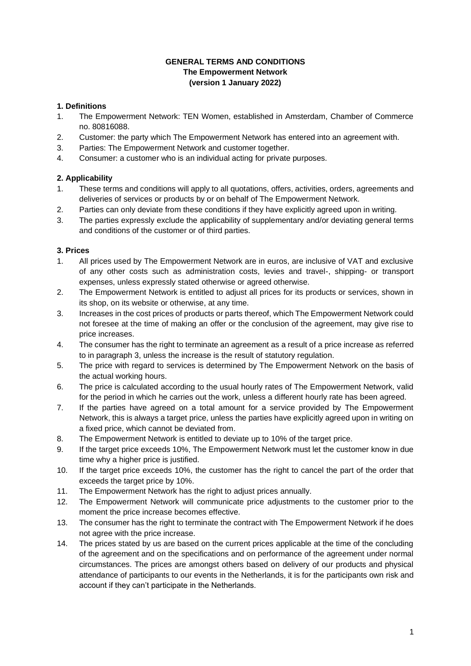### **GENERAL TERMS AND CONDITIONS The Empowerment Network (version 1 January 2022)**

### **1. Definitions**

- 1. The Empowerment Network: TEN Women, established in Amsterdam, Chamber of Commerce no. 80816088.
- 2. Customer: the party which The Empowerment Network has entered into an agreement with.
- 3. Parties: The Empowerment Network and customer together.
- 4. Consumer: a customer who is an individual acting for private purposes.

# **2. Applicability**

- 1. These terms and conditions will apply to all quotations, offers, activities, orders, agreements and deliveries of services or products by or on behalf of The Empowerment Network.
- 2. Parties can only deviate from these conditions if they have explicitly agreed upon in writing.
- 3. The parties expressly exclude the applicability of supplementary and/or deviating general terms and conditions of the customer or of third parties.

#### **3. Prices**

- 1. All prices used by The Empowerment Network are in euros, are inclusive of VAT and exclusive of any other costs such as administration costs, levies and travel-, shipping- or transport expenses, unless expressly stated otherwise or agreed otherwise.
- 2. The Empowerment Network is entitled to adjust all prices for its products or services, shown in its shop, on its website or otherwise, at any time.
- 3. Increases in the cost prices of products or parts thereof, which The Empowerment Network could not foresee at the time of making an offer or the conclusion of the agreement, may give rise to price increases.
- 4. The consumer has the right to terminate an agreement as a result of a price increase as referred to in paragraph 3, unless the increase is the result of statutory regulation.
- 5. The price with regard to services is determined by The Empowerment Network on the basis of the actual working hours.
- 6. The price is calculated according to the usual hourly rates of The Empowerment Network, valid for the period in which he carries out the work, unless a different hourly rate has been agreed.
- 7. If the parties have agreed on a total amount for a service provided by The Empowerment Network, this is always a target price, unless the parties have explicitly agreed upon in writing on a fixed price, which cannot be deviated from.
- 8. The Empowerment Network is entitled to deviate up to 10% of the target price.
- 9. If the target price exceeds 10%, The Empowerment Network must let the customer know in due time why a higher price is justified.
- 10. If the target price exceeds 10%, the customer has the right to cancel the part of the order that exceeds the target price by 10%.
- 11. The Empowerment Network has the right to adjust prices annually.
- 12. The Empowerment Network will communicate price adjustments to the customer prior to the moment the price increase becomes effective.
- 13. The consumer has the right to terminate the contract with The Empowerment Network if he does not agree with the price increase.
- 14. The prices stated by us are based on the current prices applicable at the time of the concluding of the agreement and on the specifications and on performance of the agreement under normal circumstances. The prices are amongst others based on delivery of our products and physical attendance of participants to our events in the Netherlands, it is for the participants own risk and account if they can't participate in the Netherlands.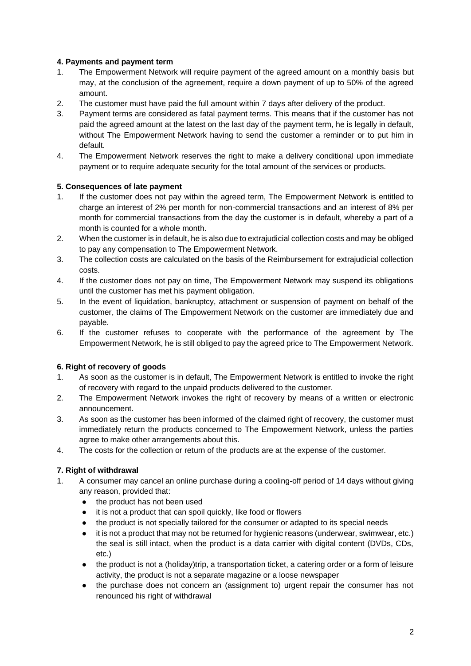# **4. Payments and payment term**

- 1. The Empowerment Network will require payment of the agreed amount on a monthly basis but may, at the conclusion of the agreement, require a down payment of up to 50% of the agreed amount.
- 2. The customer must have paid the full amount within 7 days after delivery of the product.
- 3. Payment terms are considered as fatal payment terms. This means that if the customer has not paid the agreed amount at the latest on the last day of the payment term, he is legally in default, without The Empowerment Network having to send the customer a reminder or to put him in default.
- 4. The Empowerment Network reserves the right to make a delivery conditional upon immediate payment or to require adequate security for the total amount of the services or products.

### **5. Consequences of late payment**

- 1. If the customer does not pay within the agreed term, The Empowerment Network is entitled to charge an interest of 2% per month for non-commercial transactions and an interest of 8% per month for commercial transactions from the day the customer is in default, whereby a part of a month is counted for a whole month.
- 2. When the customer is in default, he is also due to extrajudicial collection costs and may be obliged to pay any compensation to The Empowerment Network.
- 3. The collection costs are calculated on the basis of the Reimbursement for extrajudicial collection costs.
- 4. If the customer does not pay on time, The Empowerment Network may suspend its obligations until the customer has met his payment obligation.
- 5. In the event of liquidation, bankruptcy, attachment or suspension of payment on behalf of the customer, the claims of The Empowerment Network on the customer are immediately due and payable.
- 6. If the customer refuses to cooperate with the performance of the agreement by The Empowerment Network, he is still obliged to pay the agreed price to The Empowerment Network.

# **6. Right of recovery of goods**

- 1. As soon as the customer is in default, The Empowerment Network is entitled to invoke the right of recovery with regard to the unpaid products delivered to the customer.
- 2. The Empowerment Network invokes the right of recovery by means of a written or electronic announcement.
- 3. As soon as the customer has been informed of the claimed right of recovery, the customer must immediately return the products concerned to The Empowerment Network, unless the parties agree to make other arrangements about this.
- 4. The costs for the collection or return of the products are at the expense of the customer.

# **7. Right of withdrawal**

- 1. A consumer may cancel an online purchase during a cooling-off period of 14 days without giving any reason, provided that:
	- the product has not been used
	- it is not a product that can spoil quickly, like food or flowers
	- the product is not specially tailored for the consumer or adapted to its special needs
	- it is not a product that may not be returned for hygienic reasons (underwear, swimwear, etc.) the seal is still intact, when the product is a data carrier with digital content (DVDs, CDs, etc.)
	- the product is not a (holiday)trip, a transportation ticket, a catering order or a form of leisure activity, the product is not a separate magazine or a loose newspaper
	- the purchase does not concern an (assignment to) urgent repair the consumer has not renounced his right of withdrawal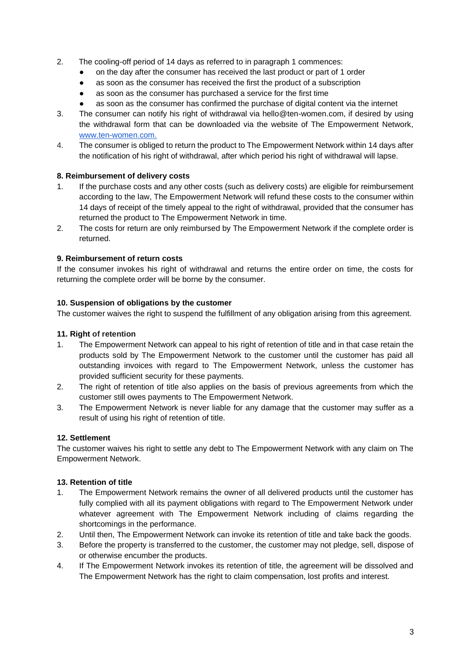- 2. The cooling-off period of 14 days as referred to in paragraph 1 commences:
	- on the day after the consumer has received the last product or part of 1 order
	- as soon as the consumer has received the first the product of a subscription
	- as soon as the consumer has purchased a service for the first time
	- as soon as the consumer has confirmed the purchase of digital content via the internet
- 3. The consumer can notify his right of withdrawal via hello@ten-women.com, if desired by using the withdrawal form that can be downloaded via the website of The Empowerment Network[,](http://www.ten-women.com/) [www.ten-women.com.](http://www.ten-women.com/)
- 4. The consumer is obliged to return the product to The Empowerment Network within 14 days after the notification of his right of withdrawal, after which period his right of withdrawal will lapse.

# **8. Reimbursement of delivery costs**

- 1. If the purchase costs and any other costs (such as delivery costs) are eligible for reimbursement according to the law, The Empowerment Network will refund these costs to the consumer within 14 days of receipt of the timely appeal to the right of withdrawal, provided that the consumer has returned the product to The Empowerment Network in time.
- 2. The costs for return are only reimbursed by The Empowerment Network if the complete order is returned.

# **9. Reimbursement of return costs**

If the consumer invokes his right of withdrawal and returns the entire order on time, the costs for returning the complete order will be borne by the consumer.

# **10. Suspension of obligations by the customer**

The customer waives the right to suspend the fulfillment of any obligation arising from this agreement.

# **11. Right of retention**

- 1. The Empowerment Network can appeal to his right of retention of title and in that case retain the products sold by The Empowerment Network to the customer until the customer has paid all outstanding invoices with regard to The Empowerment Network, unless the customer has provided sufficient security for these payments.
- 2. The right of retention of title also applies on the basis of previous agreements from which the customer still owes payments to The Empowerment Network.
- 3. The Empowerment Network is never liable for any damage that the customer may suffer as a result of using his right of retention of title.

# **12. Settlement**

The customer waives his right to settle any debt to The Empowerment Network with any claim on The Empowerment Network.

# **13. Retention of title**

- 1. The Empowerment Network remains the owner of all delivered products until the customer has fully complied with all its payment obligations with regard to The Empowerment Network under whatever agreement with The Empowerment Network including of claims regarding the shortcomings in the performance.
- 2. Until then, The Empowerment Network can invoke its retention of title and take back the goods.
- 3. Before the property is transferred to the customer, the customer may not pledge, sell, dispose of or otherwise encumber the products.
- 4. If The Empowerment Network invokes its retention of title, the agreement will be dissolved and The Empowerment Network has the right to claim compensation, lost profits and interest.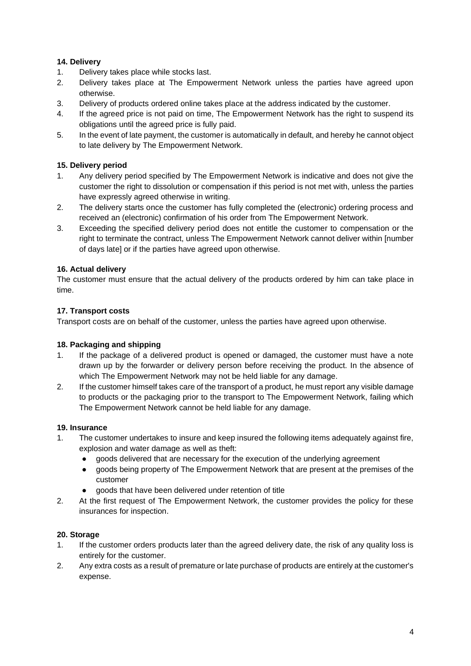# **14. Delivery**

- 1. Delivery takes place while stocks last.
- 2. Delivery takes place at The Empowerment Network unless the parties have agreed upon otherwise.
- 3. Delivery of products ordered online takes place at the address indicated by the customer.
- 4. If the agreed price is not paid on time, The Empowerment Network has the right to suspend its obligations until the agreed price is fully paid.
- 5. In the event of late payment, the customer is automatically in default, and hereby he cannot object to late delivery by The Empowerment Network.

# **15. Delivery period**

- 1. Any delivery period specified by The Empowerment Network is indicative and does not give the customer the right to dissolution or compensation if this period is not met with, unless the parties have expressly agreed otherwise in writing.
- 2. The delivery starts once the customer has fully completed the (electronic) ordering process and received an (electronic) confirmation of his order from The Empowerment Network.
- 3. Exceeding the specified delivery period does not entitle the customer to compensation or the right to terminate the contract, unless The Empowerment Network cannot deliver within [number of days late] or if the parties have agreed upon otherwise.

# **16. Actual delivery**

The customer must ensure that the actual delivery of the products ordered by him can take place in time.

# **17. Transport costs**

Transport costs are on behalf of the customer, unless the parties have agreed upon otherwise.

# **18. Packaging and shipping**

- 1. If the package of a delivered product is opened or damaged, the customer must have a note drawn up by the forwarder or delivery person before receiving the product. In the absence of which The Empowerment Network may not be held liable for any damage.
- 2. If the customer himself takes care of the transport of a product, he must report any visible damage to products or the packaging prior to the transport to The Empowerment Network, failing which The Empowerment Network cannot be held liable for any damage.

# **19. Insurance**

- 1. The customer undertakes to insure and keep insured the following items adequately against fire, explosion and water damage as well as theft:
	- goods delivered that are necessary for the execution of the underlying agreement
	- goods being property of The Empowerment Network that are present at the premises of the customer
	- goods that have been delivered under retention of title
- 2. At the first request of The Empowerment Network, the customer provides the policy for these insurances for inspection.

# **20. Storage**

- 1. If the customer orders products later than the agreed delivery date, the risk of any quality loss is entirely for the customer.
- 2. Any extra costs as a result of premature or late purchase of products are entirely at the customer's expense.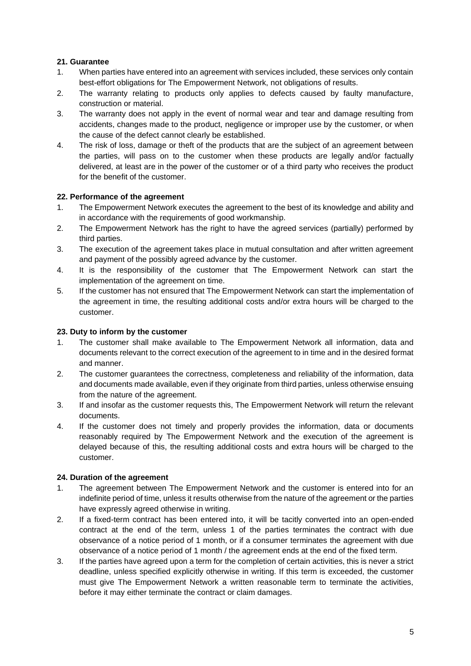# **21. Guarantee**

- 1. When parties have entered into an agreement with services included, these services only contain best-effort obligations for The Empowerment Network, not obligations of results.
- 2. The warranty relating to products only applies to defects caused by faulty manufacture, construction or material.
- 3. The warranty does not apply in the event of normal wear and tear and damage resulting from accidents, changes made to the product, negligence or improper use by the customer, or when the cause of the defect cannot clearly be established.
- 4. The risk of loss, damage or theft of the products that are the subject of an agreement between the parties, will pass on to the customer when these products are legally and/or factually delivered, at least are in the power of the customer or of a third party who receives the product for the benefit of the customer.

### **22. Performance of the agreement**

- 1. The Empowerment Network executes the agreement to the best of its knowledge and ability and in accordance with the requirements of good workmanship.
- 2. The Empowerment Network has the right to have the agreed services (partially) performed by third parties.
- 3. The execution of the agreement takes place in mutual consultation and after written agreement and payment of the possibly agreed advance by the customer.
- 4. It is the responsibility of the customer that The Empowerment Network can start the implementation of the agreement on time.
- 5. If the customer has not ensured that The Empowerment Network can start the implementation of the agreement in time, the resulting additional costs and/or extra hours will be charged to the customer.

### **23. Duty to inform by the customer**

- 1. The customer shall make available to The Empowerment Network all information, data and documents relevant to the correct execution of the agreement to in time and in the desired format and manner.
- 2. The customer guarantees the correctness, completeness and reliability of the information, data and documents made available, even if they originate from third parties, unless otherwise ensuing from the nature of the agreement.
- 3. If and insofar as the customer requests this, The Empowerment Network will return the relevant documents.
- 4. If the customer does not timely and properly provides the information, data or documents reasonably required by The Empowerment Network and the execution of the agreement is delayed because of this, the resulting additional costs and extra hours will be charged to the customer.

#### **24. Duration of the agreement**

- 1. The agreement between The Empowerment Network and the customer is entered into for an indefinite period of time, unless it results otherwise from the nature of the agreement or the parties have expressly agreed otherwise in writing.
- 2. If a fixed-term contract has been entered into, it will be tacitly converted into an open-ended contract at the end of the term, unless 1 of the parties terminates the contract with due observance of a notice period of 1 month, or if a consumer terminates the agreement with due observance of a notice period of 1 month / the agreement ends at the end of the fixed term.
- 3. If the parties have agreed upon a term for the completion of certain activities, this is never a strict deadline, unless specified explicitly otherwise in writing. If this term is exceeded, the customer must give The Empowerment Network a written reasonable term to terminate the activities, before it may either terminate the contract or claim damages.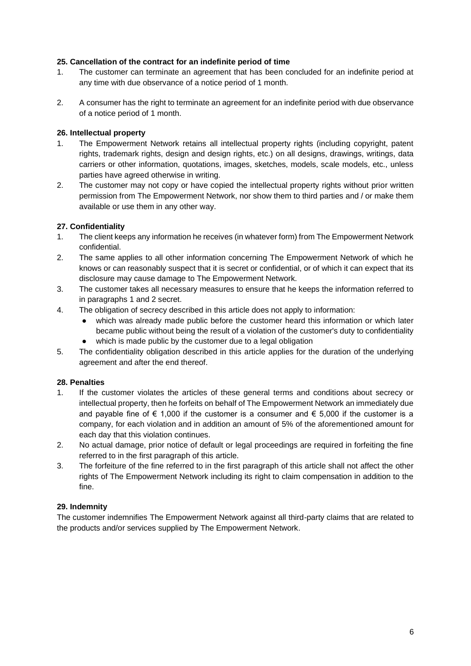### **25. Cancellation of the contract for an indefinite period of time**

- 1. The customer can terminate an agreement that has been concluded for an indefinite period at any time with due observance of a notice period of 1 month.
- 2. A consumer has the right to terminate an agreement for an indefinite period with due observance of a notice period of 1 month.

### **26. Intellectual property**

- 1. The Empowerment Network retains all intellectual property rights (including copyright, patent rights, trademark rights, design and design rights, etc.) on all designs, drawings, writings, data carriers or other information, quotations, images, sketches, models, scale models, etc., unless parties have agreed otherwise in writing.
- 2. The customer may not copy or have copied the intellectual property rights without prior written permission from The Empowerment Network, nor show them to third parties and / or make them available or use them in any other way.

### **27. Confidentiality**

- 1. The client keeps any information he receives (in whatever form) from The Empowerment Network confidential.
- 2. The same applies to all other information concerning The Empowerment Network of which he knows or can reasonably suspect that it is secret or confidential, or of which it can expect that its disclosure may cause damage to The Empowerment Network.
- 3. The customer takes all necessary measures to ensure that he keeps the information referred to in paragraphs 1 and 2 secret.
- 4. The obligation of secrecy described in this article does not apply to information:
	- which was already made public before the customer heard this information or which later became public without being the result of a violation of the customer's duty to confidentiality
	- which is made public by the customer due to a legal obligation
- 5. The confidentiality obligation described in this article applies for the duration of the underlying agreement and after the end thereof.

# **28. Penalties**

- 1. If the customer violates the articles of these general terms and conditions about secrecy or intellectual property, then he forfeits on behalf of The Empowerment Network an immediately due and payable fine of  $\epsilon$  1,000 if the customer is a consumer and  $\epsilon$  5,000 if the customer is a company, for each violation and in addition an amount of 5% of the aforementioned amount for each day that this violation continues.
- 2. No actual damage, prior notice of default or legal proceedings are required in forfeiting the fine referred to in the first paragraph of this article.
- 3. The forfeiture of the fine referred to in the first paragraph of this article shall not affect the other rights of The Empowerment Network including its right to claim compensation in addition to the fine.

#### **29. Indemnity**

The customer indemnifies The Empowerment Network against all third-party claims that are related to the products and/or services supplied by The Empowerment Network.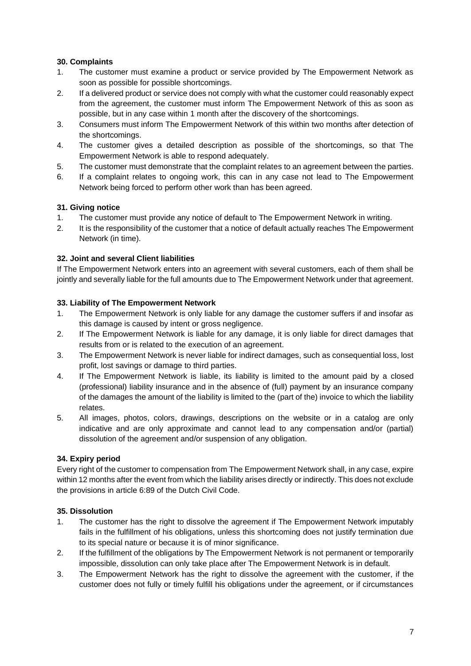# **30. Complaints**

- 1. The customer must examine a product or service provided by The Empowerment Network as soon as possible for possible shortcomings.
- 2. If a delivered product or service does not comply with what the customer could reasonably expect from the agreement, the customer must inform The Empowerment Network of this as soon as possible, but in any case within 1 month after the discovery of the shortcomings.
- 3. Consumers must inform The Empowerment Network of this within two months after detection of the shortcomings.
- 4. The customer gives a detailed description as possible of the shortcomings, so that The Empowerment Network is able to respond adequately.
- 5. The customer must demonstrate that the complaint relates to an agreement between the parties.
- 6. If a complaint relates to ongoing work, this can in any case not lead to The Empowerment Network being forced to perform other work than has been agreed.

# **31. Giving notice**

- 1. The customer must provide any notice of default to The Empowerment Network in writing.
- 2. It is the responsibility of the customer that a notice of default actually reaches The Empowerment Network (in time).

# **32. Joint and several Client liabilities**

If The Empowerment Network enters into an agreement with several customers, each of them shall be jointly and severally liable for the full amounts due to The Empowerment Network under that agreement.

### **33. Liability of The Empowerment Network**

- 1. The Empowerment Network is only liable for any damage the customer suffers if and insofar as this damage is caused by intent or gross negligence.
- 2. If The Empowerment Network is liable for any damage, it is only liable for direct damages that results from or is related to the execution of an agreement.
- 3. The Empowerment Network is never liable for indirect damages, such as consequential loss, lost profit, lost savings or damage to third parties.
- 4. If The Empowerment Network is liable, its liability is limited to the amount paid by a closed (professional) liability insurance and in the absence of (full) payment by an insurance company of the damages the amount of the liability is limited to the (part of the) invoice to which the liability relates.
- 5. All images, photos, colors, drawings, descriptions on the website or in a catalog are only indicative and are only approximate and cannot lead to any compensation and/or (partial) dissolution of the agreement and/or suspension of any obligation.

# **34. Expiry period**

Every right of the customer to compensation from The Empowerment Network shall, in any case, expire within 12 months after the event from which the liability arises directly or indirectly. This does not exclude the provisions in article 6:89 of the Dutch Civil Code.

# **35. Dissolution**

- 1. The customer has the right to dissolve the agreement if The Empowerment Network imputably fails in the fulfillment of his obligations, unless this shortcoming does not justify termination due to its special nature or because it is of minor significance.
- 2. If the fulfillment of the obligations by The Empowerment Network is not permanent or temporarily impossible, dissolution can only take place after The Empowerment Network is in default.
- 3. The Empowerment Network has the right to dissolve the agreement with the customer, if the customer does not fully or timely fulfill his obligations under the agreement, or if circumstances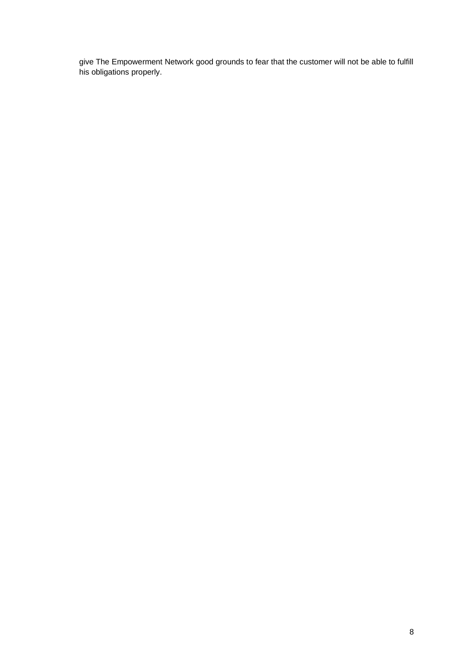give The Empowerment Network good grounds to fear that the customer will not be able to fulfill his obligations properly.